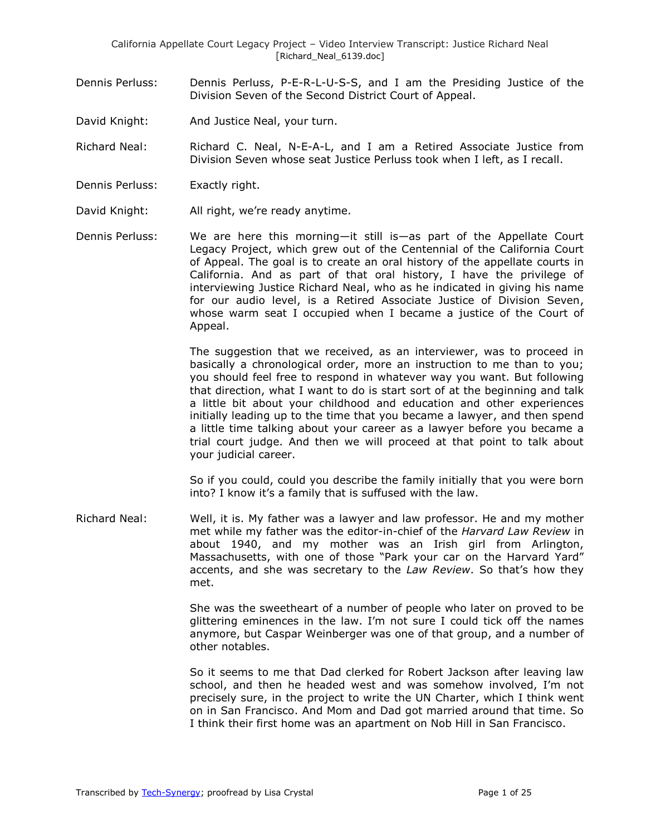- Dennis Perluss: Dennis Perluss, P-E-R-L-U-S-S, and I am the Presiding Justice of the Division Seven of the Second District Court of Appeal.
- David Knight: And Justice Neal, your turn.

Richard Neal: Richard C. Neal, N-E-A-L, and I am a Retired Associate Justice from Division Seven whose seat Justice Perluss took when I left, as I recall.

- Dennis Perluss: Exactly right.
- David Knight: All right, we're ready anytime.
- Dennis Perluss: We are here this morning—it still is—as part of the Appellate Court Legacy Project, which grew out of the Centennial of the California Court of Appeal. The goal is to create an oral history of the appellate courts in California. And as part of that oral history, I have the privilege of interviewing Justice Richard Neal, who as he indicated in giving his name for our audio level, is a Retired Associate Justice of Division Seven, whose warm seat I occupied when I became a justice of the Court of Appeal.

The suggestion that we received, as an interviewer, was to proceed in basically a chronological order, more an instruction to me than to you; you should feel free to respond in whatever way you want. But following that direction, what I want to do is start sort of at the beginning and talk a little bit about your childhood and education and other experiences initially leading up to the time that you became a lawyer, and then spend a little time talking about your career as a lawyer before you became a trial court judge. And then we will proceed at that point to talk about your judicial career.

So if you could, could you describe the family initially that you were born into? I know it's a family that is suffused with the law.

Richard Neal: Well, it is. My father was a lawyer and law professor. He and my mother met while my father was the editor-in-chief of the *Harvard Law Review* in about 1940, and my mother was an Irish girl from Arlington, Massachusetts, with one of those "Park your car on the Harvard Yard" accents, and she was secretary to the *Law Review*. So that's how they met.

> She was the sweetheart of a number of people who later on proved to be glittering eminences in the law. I'm not sure I could tick off the names anymore, but Caspar Weinberger was one of that group, and a number of other notables.

> So it seems to me that Dad clerked for Robert Jackson after leaving law school, and then he headed west and was somehow involved, I'm not precisely sure, in the project to write the UN Charter, which I think went on in San Francisco. And Mom and Dad got married around that time. So I think their first home was an apartment on Nob Hill in San Francisco.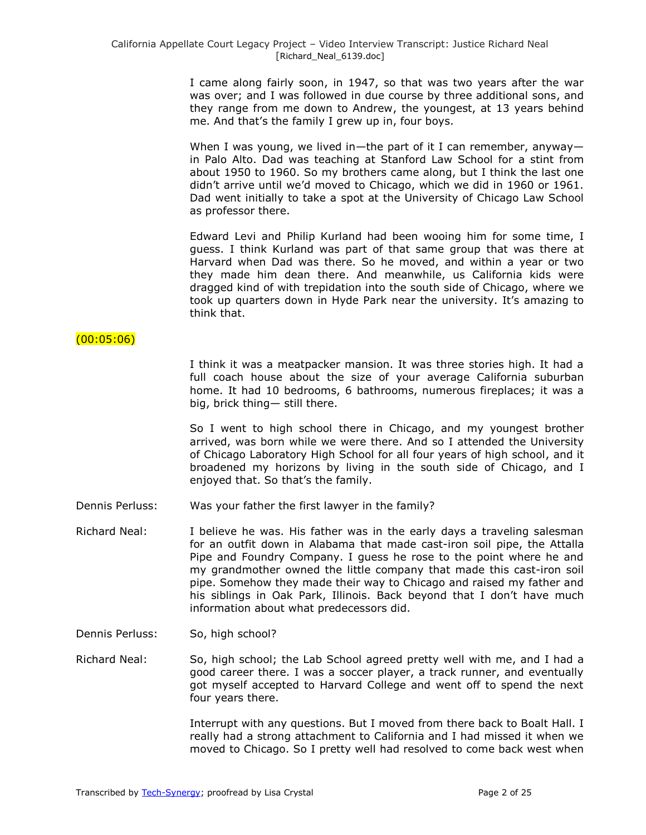I came along fairly soon, in 1947, so that was two years after the war was over; and I was followed in due course by three additional sons, and they range from me down to Andrew, the youngest, at 13 years behind me. And that's the family I grew up in, four boys.

When I was young, we lived in—the part of it I can remember, anyway in Palo Alto. Dad was teaching at Stanford Law School for a stint from about 1950 to 1960. So my brothers came along, but I think the last one didn't arrive until we'd moved to Chicago, which we did in 1960 or 1961. Dad went initially to take a spot at the University of Chicago Law School as professor there.

Edward Levi and Philip Kurland had been wooing him for some time, I guess. I think Kurland was part of that same group that was there at Harvard when Dad was there. So he moved, and within a year or two they made him dean there. And meanwhile, us California kids were dragged kind of with trepidation into the south side of Chicago, where we took up quarters down in Hyde Park near the university. It's amazing to think that.

### $(00:05:06)$

I think it was a meatpacker mansion. It was three stories high. It had a full coach house about the size of your average California suburban home. It had 10 bedrooms, 6 bathrooms, numerous fireplaces; it was a big, brick thing— still there.

So I went to high school there in Chicago, and my youngest brother arrived, was born while we were there. And so I attended the University of Chicago Laboratory High School for all four years of high school, and it broadened my horizons by living in the south side of Chicago, and I enjoyed that. So that's the family.

- Dennis Perluss: Was your father the first lawyer in the family?
- Richard Neal: I believe he was. His father was in the early days a traveling salesman for an outfit down in Alabama that made cast-iron soil pipe, the Attalla Pipe and Foundry Company. I guess he rose to the point where he and my grandmother owned the little company that made this cast-iron soil pipe. Somehow they made their way to Chicago and raised my father and his siblings in Oak Park, Illinois. Back beyond that I don't have much information about what predecessors did.
- Dennis Perluss: So, high school?
- Richard Neal: So, high school; the Lab School agreed pretty well with me, and I had a good career there. I was a soccer player, a track runner, and eventually got myself accepted to Harvard College and went off to spend the next four years there.

Interrupt with any questions. But I moved from there back to Boalt Hall. I really had a strong attachment to California and I had missed it when we moved to Chicago. So I pretty well had resolved to come back west when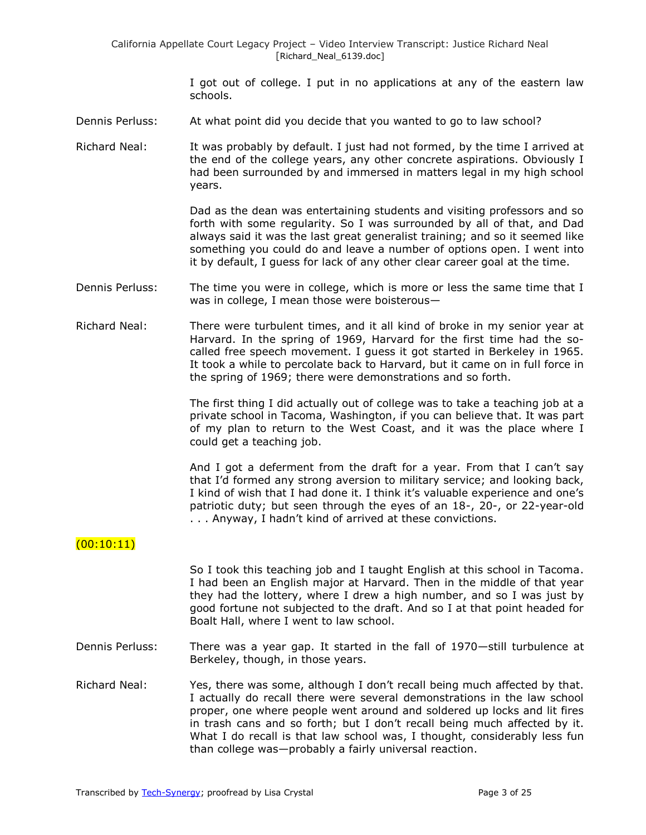I got out of college. I put in no applications at any of the eastern law schools.

- Dennis Perluss: At what point did you decide that you wanted to go to law school?
- Richard Neal: It was probably by default. I just had not formed, by the time I arrived at the end of the college years, any other concrete aspirations. Obviously I had been surrounded by and immersed in matters legal in my high school years.

Dad as the dean was entertaining students and visiting professors and so forth with some regularity. So I was surrounded by all of that, and Dad always said it was the last great generalist training; and so it seemed like something you could do and leave a number of options open. I went into it by default, I guess for lack of any other clear career goal at the time.

- Dennis Perluss: The time you were in college, which is more or less the same time that I was in college, I mean those were boisterous—
- Richard Neal: There were turbulent times, and it all kind of broke in my senior year at Harvard. In the spring of 1969, Harvard for the first time had the socalled free speech movement. I guess it got started in Berkeley in 1965. It took a while to percolate back to Harvard, but it came on in full force in the spring of 1969; there were demonstrations and so forth.

The first thing I did actually out of college was to take a teaching job at a private school in Tacoma, Washington, if you can believe that. It was part of my plan to return to the West Coast, and it was the place where I could get a teaching job.

And I got a deferment from the draft for a year. From that I can't say that I'd formed any strong aversion to military service; and looking back, I kind of wish that I had done it. I think it's valuable experience and one's patriotic duty; but seen through the eyes of an 18-, 20-, or 22-year-old . . . Anyway, I hadn't kind of arrived at these convictions.

# $(00:10:11)$

So I took this teaching job and I taught English at this school in Tacoma. I had been an English major at Harvard. Then in the middle of that year they had the lottery, where I drew a high number, and so I was just by good fortune not subjected to the draft. And so I at that point headed for Boalt Hall, where I went to law school.

- Dennis Perluss: There was a year gap. It started in the fall of 1970—still turbulence at Berkeley, though, in those years.
- Richard Neal: Yes, there was some, although I don't recall being much affected by that. I actually do recall there were several demonstrations in the law school proper, one where people went around and soldered up locks and lit fires in trash cans and so forth; but I don't recall being much affected by it. What I do recall is that law school was, I thought, considerably less fun than college was—probably a fairly universal reaction.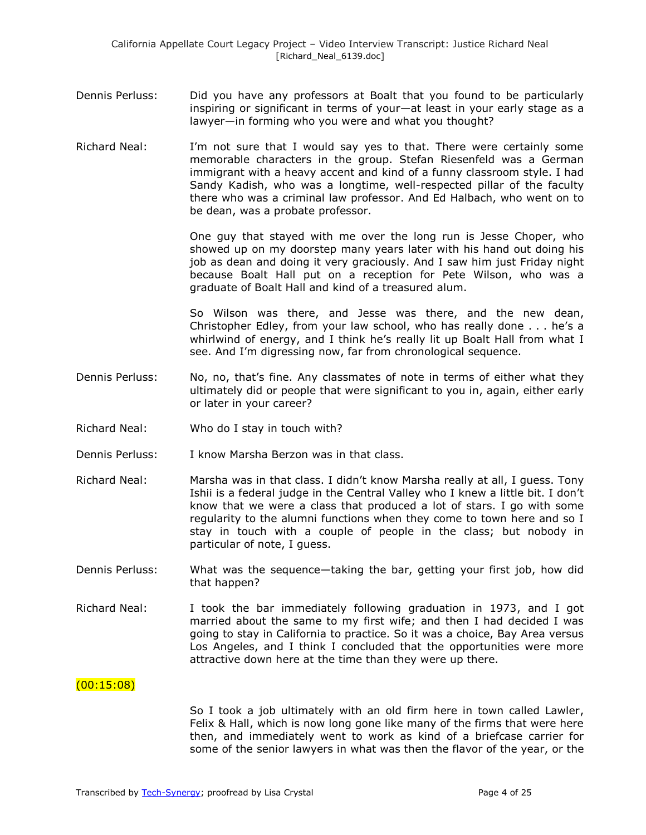- Dennis Perluss: Did you have any professors at Boalt that you found to be particularly inspiring or significant in terms of your—at least in your early stage as a lawyer—in forming who you were and what you thought?
- Richard Neal: I'm not sure that I would say yes to that. There were certainly some memorable characters in the group. Stefan Riesenfeld was a German immigrant with a heavy accent and kind of a funny classroom style. I had Sandy Kadish, who was a longtime, well-respected pillar of the faculty there who was a criminal law professor. And Ed Halbach, who went on to be dean, was a probate professor.

One guy that stayed with me over the long run is Jesse Choper, who showed up on my doorstep many years later with his hand out doing his job as dean and doing it very graciously. And I saw him just Friday night because Boalt Hall put on a reception for Pete Wilson, who was a graduate of Boalt Hall and kind of a treasured alum.

So Wilson was there, and Jesse was there, and the new dean, Christopher Edley, from your law school, who has really done . . . he's a whirlwind of energy, and I think he's really lit up Boalt Hall from what I see. And I'm digressing now, far from chronological sequence.

- Dennis Perluss: No, no, that's fine. Any classmates of note in terms of either what they ultimately did or people that were significant to you in, again, either early or later in your career?
- Richard Neal: Who do I stay in touch with?
- Dennis Perluss: I know Marsha Berzon was in that class.
- Richard Neal: Marsha was in that class. I didn't know Marsha really at all, I guess. Tony Ishii is a federal judge in the Central Valley who I knew a little bit. I don't know that we were a class that produced a lot of stars. I go with some regularity to the alumni functions when they come to town here and so I stay in touch with a couple of people in the class; but nobody in particular of note, I guess.
- Dennis Perluss: What was the sequence—taking the bar, getting your first job, how did that happen?
- Richard Neal: I took the bar immediately following graduation in 1973, and I got married about the same to my first wife; and then I had decided I was going to stay in California to practice. So it was a choice, Bay Area versus Los Angeles, and I think I concluded that the opportunities were more attractive down here at the time than they were up there.

### (00:15:08)

So I took a job ultimately with an old firm here in town called Lawler, Felix & Hall, which is now long gone like many of the firms that were here then, and immediately went to work as kind of a briefcase carrier for some of the senior lawyers in what was then the flavor of the year, or the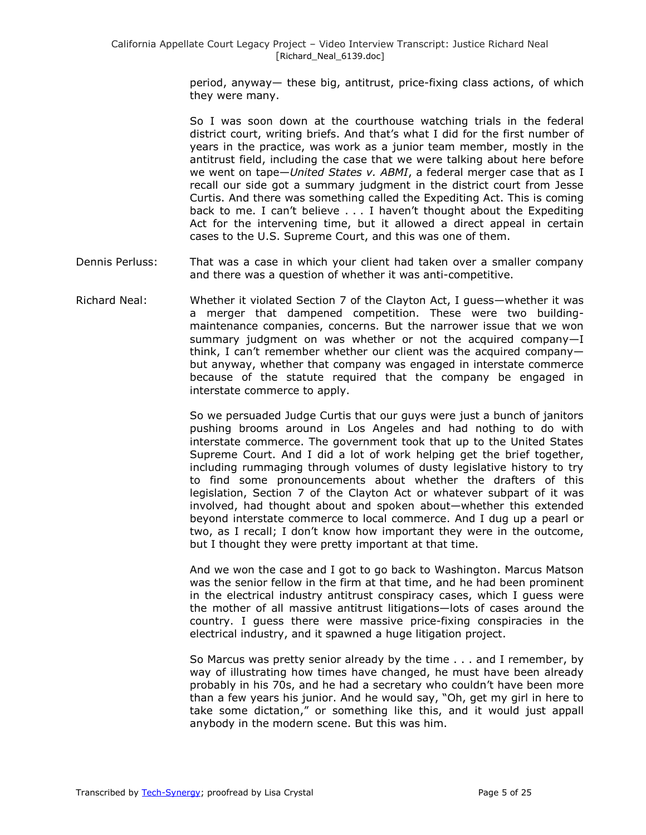period, anyway— these big, antitrust, price-fixing class actions, of which they were many.

So I was soon down at the courthouse watching trials in the federal district court, writing briefs. And that's what I did for the first number of years in the practice, was work as a junior team member, mostly in the antitrust field, including the case that we were talking about here before we went on tape—*United States v. ABMI*, a federal merger case that as I recall our side got a summary judgment in the district court from Jesse Curtis. And there was something called the Expediting Act. This is coming back to me. I can't believe . . . I haven't thought about the Expediting Act for the intervening time, but it allowed a direct appeal in certain cases to the U.S. Supreme Court, and this was one of them.

- Dennis Perluss: That was a case in which your client had taken over a smaller company and there was a question of whether it was anti-competitive.
- Richard Neal: Whether it violated Section 7 of the Clayton Act, I guess—whether it was a merger that dampened competition. These were two buildingmaintenance companies, concerns. But the narrower issue that we won summary judgment on was whether or not the acquired company—I think, I can't remember whether our client was the acquired company but anyway, whether that company was engaged in interstate commerce because of the statute required that the company be engaged in interstate commerce to apply.

So we persuaded Judge Curtis that our guys were just a bunch of janitors pushing brooms around in Los Angeles and had nothing to do with interstate commerce. The government took that up to the United States Supreme Court. And I did a lot of work helping get the brief together, including rummaging through volumes of dusty legislative history to try to find some pronouncements about whether the drafters of this legislation, Section 7 of the Clayton Act or whatever subpart of it was involved, had thought about and spoken about—whether this extended beyond interstate commerce to local commerce. And I dug up a pearl or two, as I recall; I don't know how important they were in the outcome, but I thought they were pretty important at that time.

And we won the case and I got to go back to Washington. Marcus Matson was the senior fellow in the firm at that time, and he had been prominent in the electrical industry antitrust conspiracy cases, which I guess were the mother of all massive antitrust litigations—lots of cases around the country. I guess there were massive price-fixing conspiracies in the electrical industry, and it spawned a huge litigation project.

So Marcus was pretty senior already by the time . . . and I remember, by way of illustrating how times have changed, he must have been already probably in his 70s, and he had a secretary who couldn't have been more than a few years his junior. And he would say, "Oh, get my girl in here to take some dictation," or something like this, and it would just appall anybody in the modern scene. But this was him.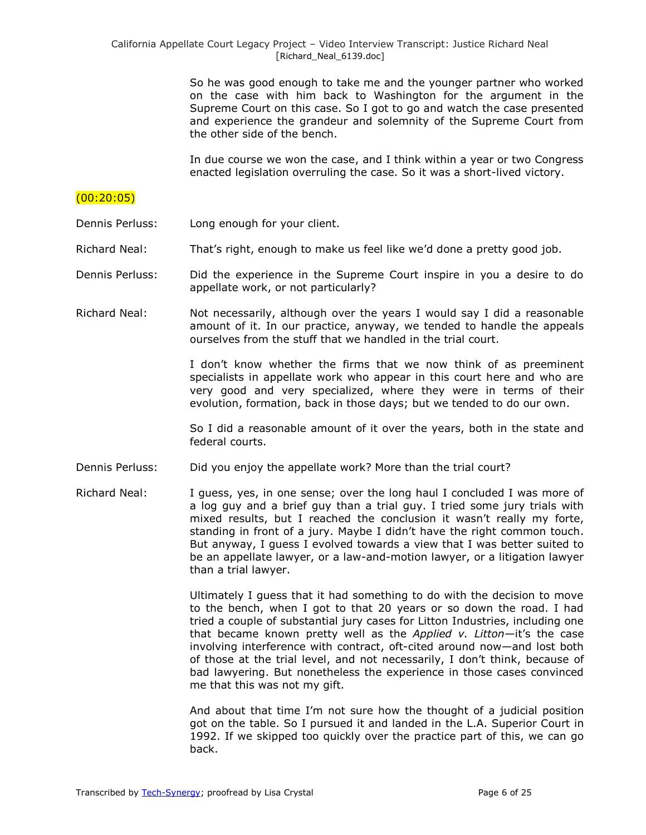So he was good enough to take me and the younger partner who worked on the case with him back to Washington for the argument in the Supreme Court on this case. So I got to go and watch the case presented and experience the grandeur and solemnity of the Supreme Court from the other side of the bench.

In due course we won the case, and I think within a year or two Congress enacted legislation overruling the case. So it was a short-lived victory.

# $(00:20:05)$

- Dennis Perluss: Long enough for your client.
- Richard Neal: That's right, enough to make us feel like we'd done a pretty good job.
- Dennis Perluss: Did the experience in the Supreme Court inspire in you a desire to do appellate work, or not particularly?
- Richard Neal: Not necessarily, although over the years I would say I did a reasonable amount of it. In our practice, anyway, we tended to handle the appeals ourselves from the stuff that we handled in the trial court.

I don't know whether the firms that we now think of as preeminent specialists in appellate work who appear in this court here and who are very good and very specialized, where they were in terms of their evolution, formation, back in those days; but we tended to do our own.

So I did a reasonable amount of it over the years, both in the state and federal courts.

Dennis Perluss: Did you enjoy the appellate work? More than the trial court?

Richard Neal: I guess, yes, in one sense; over the long haul I concluded I was more of a log guy and a brief guy than a trial guy. I tried some jury trials with mixed results, but I reached the conclusion it wasn't really my forte, standing in front of a jury. Maybe I didn't have the right common touch. But anyway, I guess I evolved towards a view that I was better suited to be an appellate lawyer, or a law-and-motion lawyer, or a litigation lawyer than a trial lawyer.

> Ultimately I guess that it had something to do with the decision to move to the bench, when I got to that 20 years or so down the road. I had tried a couple of substantial jury cases for Litton Industries, including one that became known pretty well as the *Applied v. Litton*—it's the case involving interference with contract, oft-cited around now—and lost both of those at the trial level, and not necessarily, I don't think, because of bad lawyering. But nonetheless the experience in those cases convinced me that this was not my gift.

> And about that time I'm not sure how the thought of a judicial position got on the table. So I pursued it and landed in the L.A. Superior Court in 1992. If we skipped too quickly over the practice part of this, we can go back.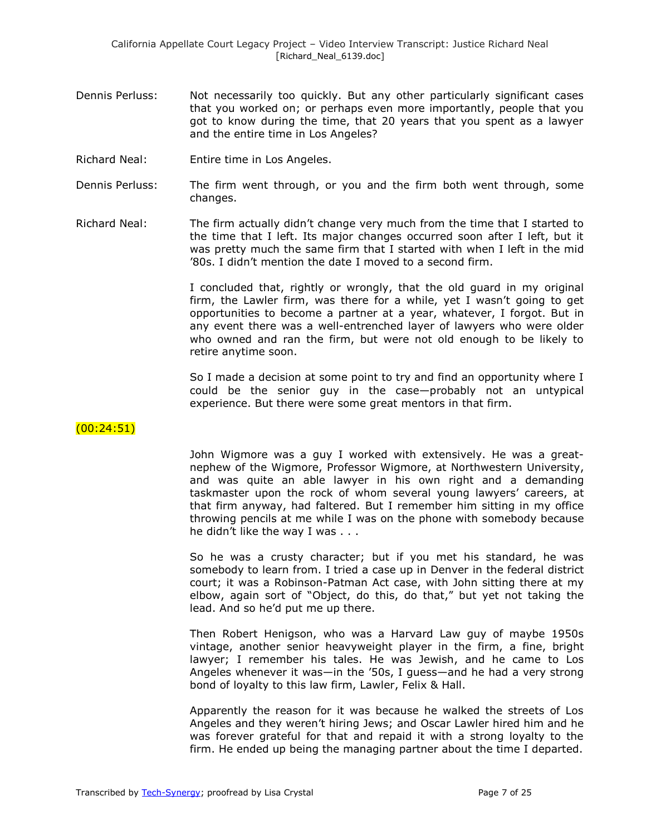- Dennis Perluss: Not necessarily too quickly. But any other particularly significant cases that you worked on; or perhaps even more importantly, people that you got to know during the time, that 20 years that you spent as a lawyer and the entire time in Los Angeles?
- Richard Neal: Entire time in Los Angeles.
- Dennis Perluss: The firm went through, or you and the firm both went through, some changes.
- Richard Neal: The firm actually didn't change very much from the time that I started to the time that I left. Its major changes occurred soon after I left, but it was pretty much the same firm that I started with when I left in the mid '80s. I didn't mention the date I moved to a second firm.

I concluded that, rightly or wrongly, that the old guard in my original firm, the Lawler firm, was there for a while, yet I wasn't going to get opportunities to become a partner at a year, whatever, I forgot. But in any event there was a well-entrenched layer of lawyers who were older who owned and ran the firm, but were not old enough to be likely to retire anytime soon.

So I made a decision at some point to try and find an opportunity where I could be the senior guy in the case—probably not an untypical experience. But there were some great mentors in that firm.

 $(00:24:51)$ 

John Wigmore was a guy I worked with extensively. He was a greatnephew of the Wigmore, Professor Wigmore, at Northwestern University, and was quite an able lawyer in his own right and a demanding taskmaster upon the rock of whom several young lawyers' careers, at that firm anyway, had faltered. But I remember him sitting in my office throwing pencils at me while I was on the phone with somebody because he didn't like the way I was . . .

So he was a crusty character; but if you met his standard, he was somebody to learn from. I tried a case up in Denver in the federal district court; it was a Robinson-Patman Act case, with John sitting there at my elbow, again sort of "Object, do this, do that," but yet not taking the lead. And so he'd put me up there.

Then Robert Henigson, who was a Harvard Law guy of maybe 1950s vintage, another senior heavyweight player in the firm, a fine, bright lawyer; I remember his tales. He was Jewish, and he came to Los Angeles whenever it was—in the '50s, I guess—and he had a very strong bond of loyalty to this law firm, Lawler, Felix & Hall.

Apparently the reason for it was because he walked the streets of Los Angeles and they weren't hiring Jews; and Oscar Lawler hired him and he was forever grateful for that and repaid it with a strong loyalty to the firm. He ended up being the managing partner about the time I departed.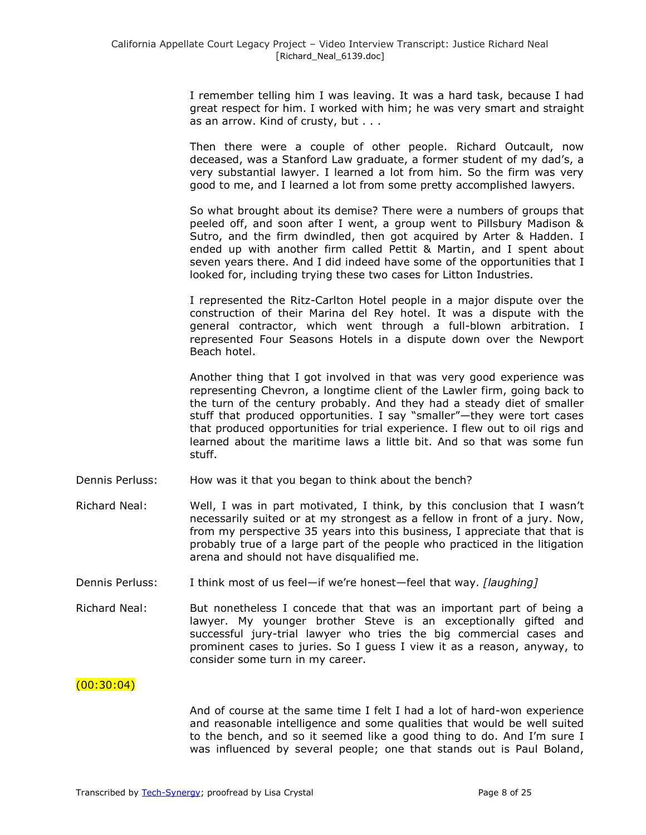I remember telling him I was leaving. It was a hard task, because I had great respect for him. I worked with him; he was very smart and straight as an arrow. Kind of crusty, but . . .

Then there were a couple of other people. Richard Outcault, now deceased, was a Stanford Law graduate, a former student of my dad's, a very substantial lawyer. I learned a lot from him. So the firm was very good to me, and I learned a lot from some pretty accomplished lawyers.

So what brought about its demise? There were a numbers of groups that peeled off, and soon after I went, a group went to Pillsbury Madison & Sutro, and the firm dwindled, then got acquired by Arter & Hadden. I ended up with another firm called Pettit & Martin, and I spent about seven years there. And I did indeed have some of the opportunities that I looked for, including trying these two cases for Litton Industries.

I represented the Ritz-Carlton Hotel people in a major dispute over the construction of their Marina del Rey hotel. It was a dispute with the general contractor, which went through a full-blown arbitration. I represented Four Seasons Hotels in a dispute down over the Newport Beach hotel.

Another thing that I got involved in that was very good experience was representing Chevron, a longtime client of the Lawler firm, going back to the turn of the century probably. And they had a steady diet of smaller stuff that produced opportunities. I say "smaller"-they were tort cases that produced opportunities for trial experience. I flew out to oil rigs and learned about the maritime laws a little bit. And so that was some fun stuff.

- Dennis Perluss: How was it that you began to think about the bench?
- Richard Neal: Well, I was in part motivated, I think, by this conclusion that I wasn't necessarily suited or at my strongest as a fellow in front of a jury. Now, from my perspective 35 years into this business, I appreciate that that is probably true of a large part of the people who practiced in the litigation arena and should not have disqualified me.
- Dennis Perluss: I think most of us feel—if we're honest—feel that way. *[laughing]*
- Richard Neal: But nonetheless I concede that that was an important part of being a lawyer. My younger brother Steve is an exceptionally gifted and successful jury-trial lawyer who tries the big commercial cases and prominent cases to juries. So I guess I view it as a reason, anyway, to consider some turn in my career.

### $(00:30:04)$

And of course at the same time I felt I had a lot of hard-won experience and reasonable intelligence and some qualities that would be well suited to the bench, and so it seemed like a good thing to do. And I'm sure I was influenced by several people; one that stands out is Paul Boland,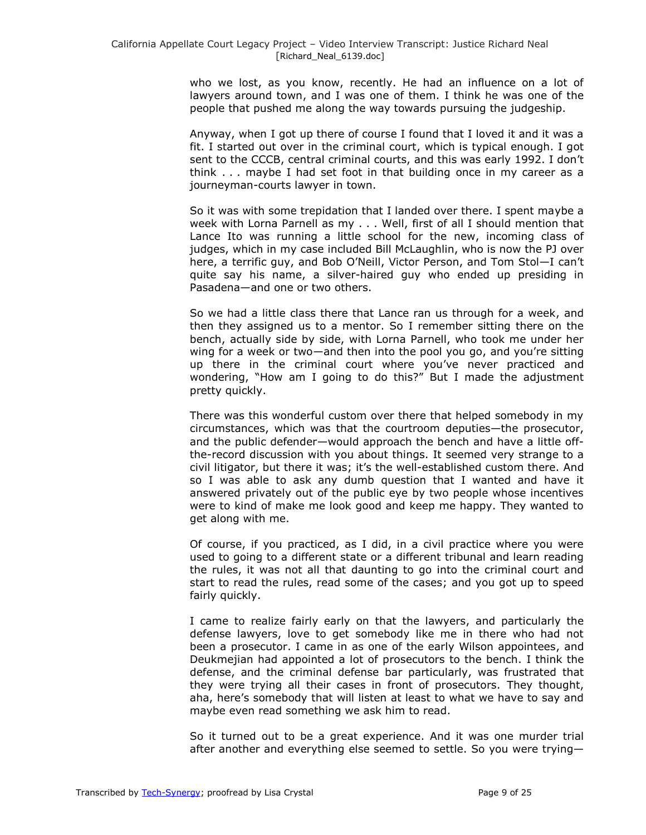who we lost, as you know, recently. He had an influence on a lot of lawyers around town, and I was one of them. I think he was one of the people that pushed me along the way towards pursuing the judgeship.

Anyway, when I got up there of course I found that I loved it and it was a fit. I started out over in the criminal court, which is typical enough. I got sent to the CCCB, central criminal courts, and this was early 1992. I don't think . . . maybe I had set foot in that building once in my career as a journeyman-courts lawyer in town.

So it was with some trepidation that I landed over there. I spent maybe a week with Lorna Parnell as my . . . Well, first of all I should mention that Lance Ito was running a little school for the new, incoming class of judges, which in my case included Bill McLaughlin, who is now the PJ over here, a terrific guy, and Bob O'Neill, Victor Person, and Tom Stol—I can't quite say his name, a silver-haired guy who ended up presiding in Pasadena—and one or two others.

So we had a little class there that Lance ran us through for a week, and then they assigned us to a mentor. So I remember sitting there on the bench, actually side by side, with Lorna Parnell, who took me under her wing for a week or two—and then into the pool you go, and you're sitting up there in the criminal court where you've never practiced and wondering, "How am I going to do this?" But I made the adjustment pretty quickly.

There was this wonderful custom over there that helped somebody in my circumstances, which was that the courtroom deputies—the prosecutor, and the public defender—would approach the bench and have a little offthe-record discussion with you about things. It seemed very strange to a civil litigator, but there it was; it's the well-established custom there. And so I was able to ask any dumb question that I wanted and have it answered privately out of the public eye by two people whose incentives were to kind of make me look good and keep me happy. They wanted to get along with me.

Of course, if you practiced, as I did, in a civil practice where you were used to going to a different state or a different tribunal and learn reading the rules, it was not all that daunting to go into the criminal court and start to read the rules, read some of the cases; and you got up to speed fairly quickly.

I came to realize fairly early on that the lawyers, and particularly the defense lawyers, love to get somebody like me in there who had not been a prosecutor. I came in as one of the early Wilson appointees, and Deukmejian had appointed a lot of prosecutors to the bench. I think the defense, and the criminal defense bar particularly, was frustrated that they were trying all their cases in front of prosecutors. They thought, aha, here's somebody that will listen at least to what we have to say and maybe even read something we ask him to read.

So it turned out to be a great experience. And it was one murder trial after another and everything else seemed to settle. So you were trying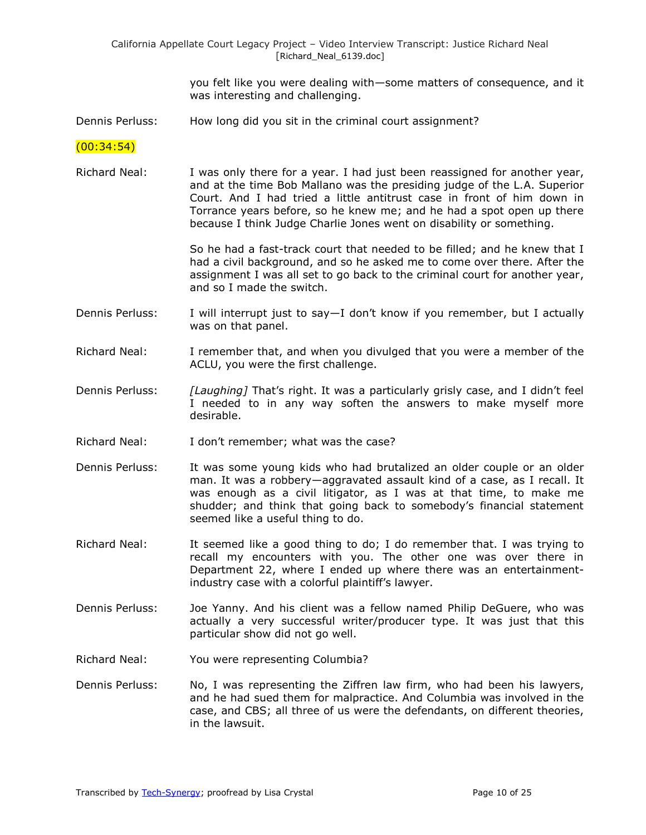California Appellate Court Legacy Project – Video Interview Transcript: Justice Richard Neal [Richard\_Neal\_6139.doc]

> you felt like you were dealing with—some matters of consequence, and it was interesting and challenging.

Dennis Perluss: How long did you sit in the criminal court assignment?

#### $(00:34:54)$

Richard Neal: I was only there for a year. I had just been reassigned for another year, and at the time Bob Mallano was the presiding judge of the L.A. Superior Court. And I had tried a little antitrust case in front of him down in Torrance years before, so he knew me; and he had a spot open up there because I think Judge Charlie Jones went on disability or something.

> So he had a fast-track court that needed to be filled; and he knew that I had a civil background, and so he asked me to come over there. After the assignment I was all set to go back to the criminal court for another year, and so I made the switch.

- Dennis Perluss: I will interrupt just to say-I don't know if you remember, but I actually was on that panel.
- Richard Neal: I remember that, and when you divulged that you were a member of the ACLU, you were the first challenge.
- Dennis Perluss: *[Laughing]* That's right. It was a particularly grisly case, and I didn't feel I needed to in any way soften the answers to make myself more desirable.
- Richard Neal: I don't remember; what was the case?
- Dennis Perluss: It was some young kids who had brutalized an older couple or an older man. It was a robbery—aggravated assault kind of a case, as I recall. It was enough as a civil litigator, as I was at that time, to make me shudder; and think that going back to somebody's financial statement seemed like a useful thing to do.
- Richard Neal: It seemed like a good thing to do; I do remember that. I was trying to recall my encounters with you. The other one was over there in Department 22, where I ended up where there was an entertainmentindustry case with a colorful plaintiff's lawyer.
- Dennis Perluss: Joe Yanny. And his client was a fellow named Philip DeGuere, who was actually a very successful writer/producer type. It was just that this particular show did not go well.
- Richard Neal: You were representing Columbia?
- Dennis Perluss: No, I was representing the Ziffren law firm, who had been his lawyers, and he had sued them for malpractice. And Columbia was involved in the case, and CBS; all three of us were the defendants, on different theories, in the lawsuit.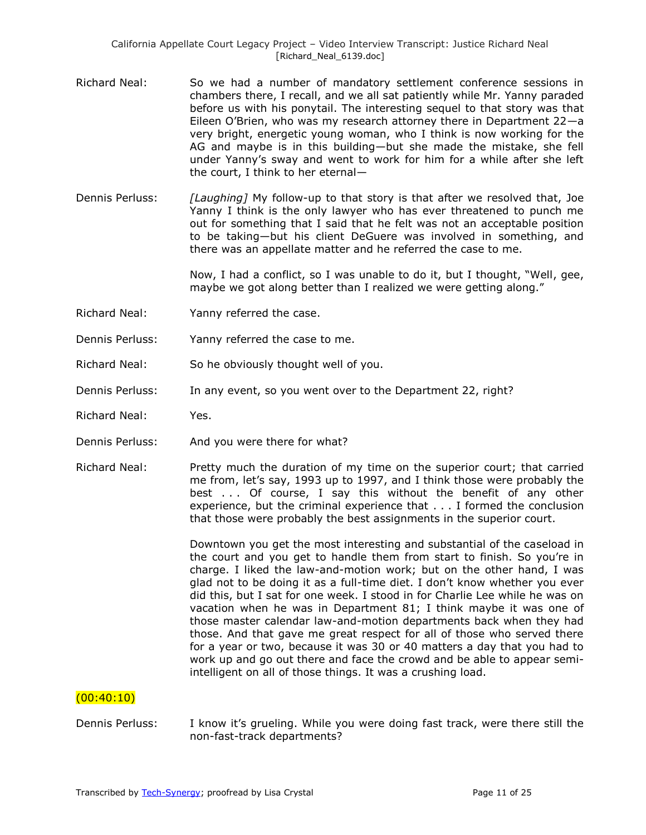- Richard Neal: So we had a number of mandatory settlement conference sessions in chambers there, I recall, and we all sat patiently while Mr. Yanny paraded before us with his ponytail. The interesting sequel to that story was that Eileen O'Brien, who was my research attorney there in Department 22—a very bright, energetic young woman, who I think is now working for the AG and maybe is in this building—but she made the mistake, she fell under Yanny's sway and went to work for him for a while after she left the court, I think to her eternal—
- Dennis Perluss: *[Laughing]* My follow-up to that story is that after we resolved that, Joe Yanny I think is the only lawyer who has ever threatened to punch me out for something that I said that he felt was not an acceptable position to be taking—but his client DeGuere was involved in something, and there was an appellate matter and he referred the case to me.

Now, I had a conflict, so I was unable to do it, but I thought, "Well, gee, maybe we got along better than I realized we were getting along."

- Richard Neal: Yanny referred the case.
- Dennis Perluss: Yanny referred the case to me.
- Richard Neal: So he obviously thought well of you.
- Dennis Perluss: In any event, so you went over to the Department 22, right?
- Richard Neal: Yes.
- Dennis Perluss: And you were there for what?
- Richard Neal: Pretty much the duration of my time on the superior court; that carried me from, let's say, 1993 up to 1997, and I think those were probably the best . . . Of course, I say this without the benefit of any other experience, but the criminal experience that . . . I formed the conclusion that those were probably the best assignments in the superior court.

Downtown you get the most interesting and substantial of the caseload in the court and you get to handle them from start to finish. So you're in charge. I liked the law-and-motion work; but on the other hand, I was glad not to be doing it as a full-time diet. I don't know whether you ever did this, but I sat for one week. I stood in for Charlie Lee while he was on vacation when he was in Department 81; I think maybe it was one of those master calendar law-and-motion departments back when they had those. And that gave me great respect for all of those who served there for a year or two, because it was 30 or 40 matters a day that you had to work up and go out there and face the crowd and be able to appear semiintelligent on all of those things. It was a crushing load.

# $(00:40:10)$

Dennis Perluss: I know it's grueling. While you were doing fast track, were there still the non-fast-track departments?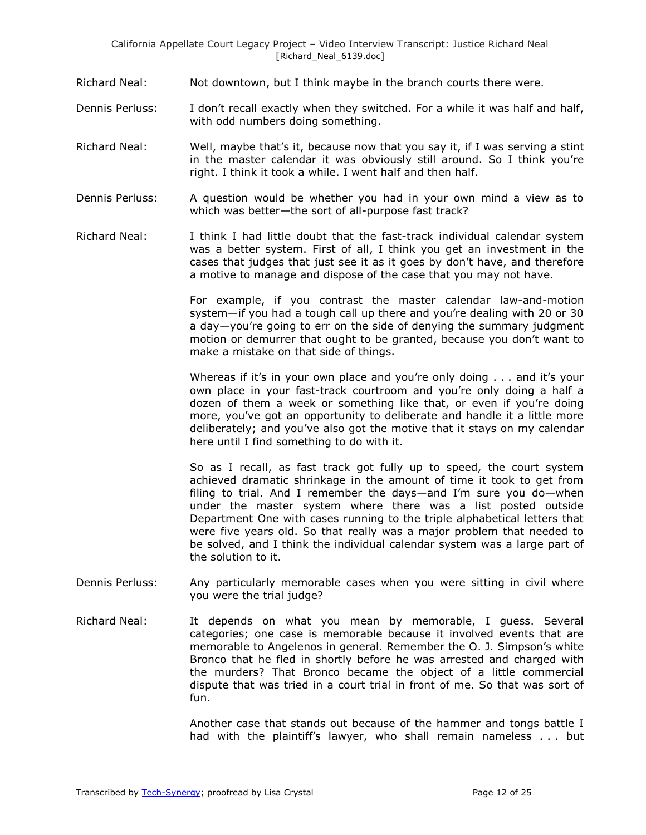- Richard Neal: Not downtown, but I think maybe in the branch courts there were.
- Dennis Perluss: I don't recall exactly when they switched. For a while it was half and half, with odd numbers doing something.
- Richard Neal: Well, maybe that's it, because now that you say it, if I was serving a stint in the master calendar it was obviously still around. So I think you're right. I think it took a while. I went half and then half.
- Dennis Perluss: A question would be whether you had in your own mind a view as to which was better—the sort of all-purpose fast track?
- Richard Neal: I think I had little doubt that the fast-track individual calendar system was a better system. First of all, I think you get an investment in the cases that judges that just see it as it goes by don't have, and therefore a motive to manage and dispose of the case that you may not have.

For example, if you contrast the master calendar law-and-motion system—if you had a tough call up there and you're dealing with 20 or 30 a day—you're going to err on the side of denying the summary judgment motion or demurrer that ought to be granted, because you don't want to make a mistake on that side of things.

Whereas if it's in your own place and you're only doing . . . and it's your own place in your fast-track courtroom and you're only doing a half a dozen of them a week or something like that, or even if you're doing more, you've got an opportunity to deliberate and handle it a little more deliberately; and you've also got the motive that it stays on my calendar here until I find something to do with it.

So as I recall, as fast track got fully up to speed, the court system achieved dramatic shrinkage in the amount of time it took to get from filing to trial. And I remember the days—and I'm sure you do—when under the master system where there was a list posted outside Department One with cases running to the triple alphabetical letters that were five years old. So that really was a major problem that needed to be solved, and I think the individual calendar system was a large part of the solution to it.

- Dennis Perluss: Any particularly memorable cases when you were sitting in civil where you were the trial judge?
- Richard Neal: It depends on what you mean by memorable, I guess. Several categories; one case is memorable because it involved events that are memorable to Angelenos in general. Remember the O. J. Simpson's white Bronco that he fled in shortly before he was arrested and charged with the murders? That Bronco became the object of a little commercial dispute that was tried in a court trial in front of me. So that was sort of fun.

Another case that stands out because of the hammer and tongs battle I had with the plaintiff's lawyer, who shall remain nameless . . . but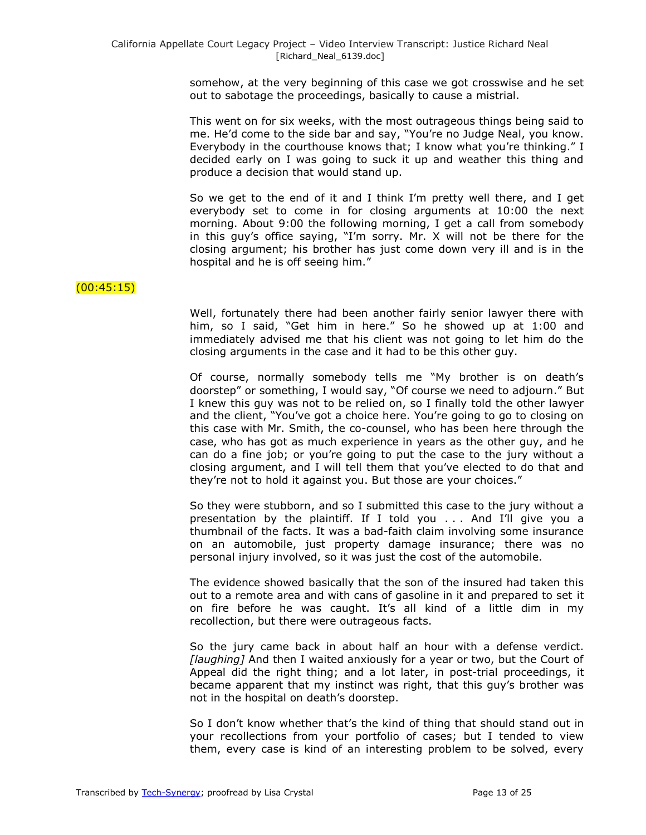somehow, at the very beginning of this case we got crosswise and he set out to sabotage the proceedings, basically to cause a mistrial.

This went on for six weeks, with the most outrageous things being said to me. He'd come to the side bar and say, "You're no Judge Neal, you know. Everybody in the courthouse knows that; I know what you're thinking." I decided early on I was going to suck it up and weather this thing and produce a decision that would stand up.

So we get to the end of it and I think I'm pretty well there, and I get everybody set to come in for closing arguments at 10:00 the next morning. About 9:00 the following morning, I get a call from somebody in this guy's office saying, "I'm sorry. Mr.  $X$  will not be there for the closing argument; his brother has just come down very ill and is in the hospital and he is off seeing him."

# $(00:45:15)$

Well, fortunately there had been another fairly senior lawyer there with him, so I said, "Get him in here." So he showed up at 1:00 and immediately advised me that his client was not going to let him do the closing arguments in the case and it had to be this other guy.

Of course, normally somebody tells me "My brother is on death's doorstep" or something, I would say, "Of course we need to adjourn." But I knew this guy was not to be relied on, so I finally told the other lawyer and the client, "You've got a choice here. You're going to go to closing on this case with Mr. Smith, the co-counsel, who has been here through the case, who has got as much experience in years as the other guy, and he can do a fine job; or you're going to put the case to the jury without a closing argument, and I will tell them that you've elected to do that and they're not to hold it against you. But those are your choices."

So they were stubborn, and so I submitted this case to the jury without a presentation by the plaintiff. If I told you . . . And I'll give you a thumbnail of the facts. It was a bad-faith claim involving some insurance on an automobile, just property damage insurance; there was no personal injury involved, so it was just the cost of the automobile.

The evidence showed basically that the son of the insured had taken this out to a remote area and with cans of gasoline in it and prepared to set it on fire before he was caught. It's all kind of a little dim in my recollection, but there were outrageous facts.

So the jury came back in about half an hour with a defense verdict. *[laughing]* And then I waited anxiously for a year or two, but the Court of Appeal did the right thing; and a lot later, in post-trial proceedings, it became apparent that my instinct was right, that this guy's brother was not in the hospital on death's doorstep.

So I don't know whether that's the kind of thing that should stand out in your recollections from your portfolio of cases; but I tended to view them, every case is kind of an interesting problem to be solved, every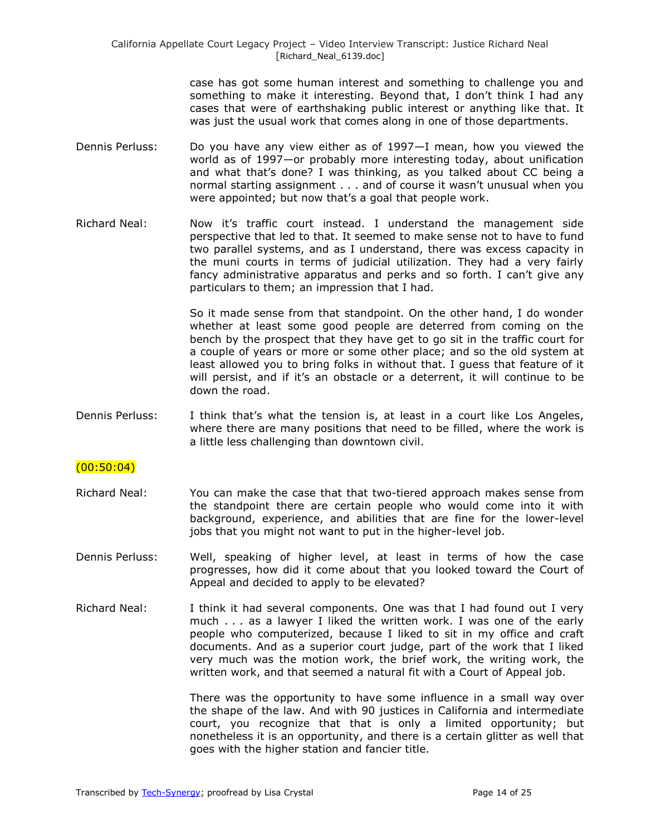case has got some human interest and something to challenge you and something to make it interesting. Beyond that, I don't think I had any cases that were of earthshaking public interest or anything like that. It was just the usual work that comes along in one of those departments.

- Dennis Perluss: Do you have any view either as of 1997—I mean, how you viewed the world as of 1997—or probably more interesting today, about unification and what that's done? I was thinking, as you talked about CC being a normal starting assignment . . . and of course it wasn't unusual when you were appointed; but now that's a goal that people work.
- Richard Neal: Now it's traffic court instead. I understand the management side perspective that led to that. It seemed to make sense not to have to fund two parallel systems, and as I understand, there was excess capacity in the muni courts in terms of judicial utilization. They had a very fairly fancy administrative apparatus and perks and so forth. I can't give any particulars to them; an impression that I had.

So it made sense from that standpoint. On the other hand, I do wonder whether at least some good people are deterred from coming on the bench by the prospect that they have get to go sit in the traffic court for a couple of years or more or some other place; and so the old system at least allowed you to bring folks in without that. I guess that feature of it will persist, and if it's an obstacle or a deterrent, it will continue to be down the road.

Dennis Perluss: I think that's what the tension is, at least in a court like Los Angeles, where there are many positions that need to be filled, where the work is a little less challenging than downtown civil.

# $(00:50:04)$

- Richard Neal: You can make the case that that two-tiered approach makes sense from the standpoint there are certain people who would come into it with background, experience, and abilities that are fine for the lower-level jobs that you might not want to put in the higher-level job.
- Dennis Perluss: Well, speaking of higher level, at least in terms of how the case progresses, how did it come about that you looked toward the Court of Appeal and decided to apply to be elevated?
- Richard Neal: I think it had several components. One was that I had found out I very much . . . as a lawyer I liked the written work. I was one of the early people who computerized, because I liked to sit in my office and craft documents. And as a superior court judge, part of the work that I liked very much was the motion work, the brief work, the writing work, the written work, and that seemed a natural fit with a Court of Appeal job.

There was the opportunity to have some influence in a small way over the shape of the law. And with 90 justices in California and intermediate court, you recognize that that is only a limited opportunity; but nonetheless it is an opportunity, and there is a certain glitter as well that goes with the higher station and fancier title.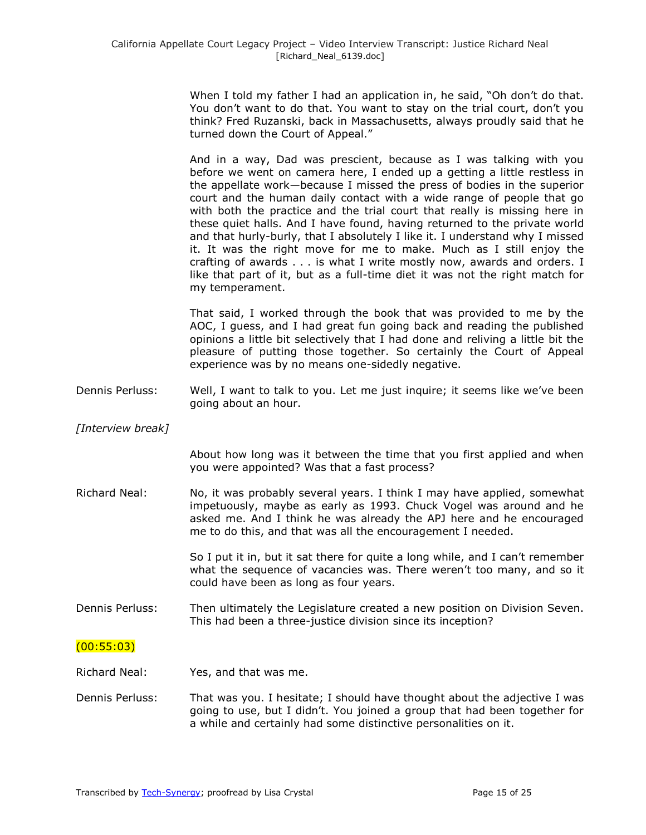When I told my father I had an application in, he said, "Oh don't do that. You don't want to do that. You want to stay on the trial court, don't you think? Fred Ruzanski, back in Massachusetts, always proudly said that he turned down the Court of Appeal."

And in a way, Dad was prescient, because as I was talking with you before we went on camera here, I ended up a getting a little restless in the appellate work—because I missed the press of bodies in the superior court and the human daily contact with a wide range of people that go with both the practice and the trial court that really is missing here in these quiet halls. And I have found, having returned to the private world and that hurly-burly, that I absolutely I like it. I understand why I missed it. It was the right move for me to make. Much as I still enjoy the crafting of awards . . . is what I write mostly now, awards and orders. I like that part of it, but as a full-time diet it was not the right match for my temperament.

That said, I worked through the book that was provided to me by the AOC, I guess, and I had great fun going back and reading the published opinions a little bit selectively that I had done and reliving a little bit the pleasure of putting those together. So certainly the Court of Appeal experience was by no means one-sidedly negative.

Dennis Perluss: Well, I want to talk to you. Let me just inquire; it seems like we've been going about an hour.

*[Interview break]*

About how long was it between the time that you first applied and when you were appointed? Was that a fast process?

Richard Neal: No, it was probably several years. I think I may have applied, somewhat impetuously, maybe as early as 1993. Chuck Vogel was around and he asked me. And I think he was already the APJ here and he encouraged me to do this, and that was all the encouragement I needed.

> So I put it in, but it sat there for quite a long while, and I can't remember what the sequence of vacancies was. There weren't too many, and so it could have been as long as four years.

Dennis Perluss: Then ultimately the Legislature created a new position on Division Seven. This had been a three-justice division since its inception?

### (00:55:03)

- Richard Neal: Yes, and that was me.
- Dennis Perluss: That was you. I hesitate; I should have thought about the adjective I was going to use, but I didn't. You joined a group that had been together for a while and certainly had some distinctive personalities on it.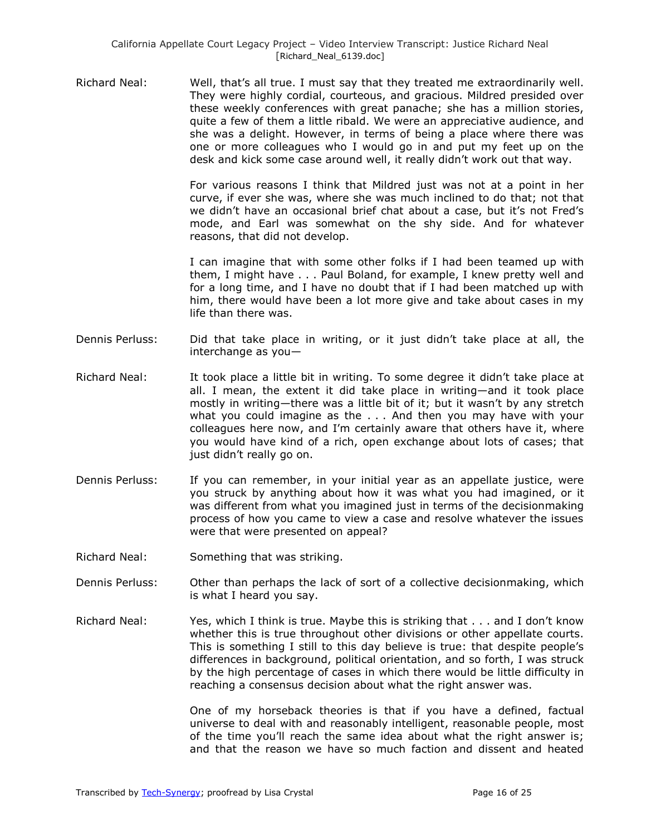Richard Neal: Well, that's all true. I must say that they treated me extraordinarily well. They were highly cordial, courteous, and gracious. Mildred presided over these weekly conferences with great panache; she has a million stories, quite a few of them a little ribald. We were an appreciative audience, and she was a delight. However, in terms of being a place where there was one or more colleagues who I would go in and put my feet up on the desk and kick some case around well, it really didn't work out that way.

> For various reasons I think that Mildred just was not at a point in her curve, if ever she was, where she was much inclined to do that; not that we didn't have an occasional brief chat about a case, but it's not Fred's mode, and Earl was somewhat on the shy side. And for whatever reasons, that did not develop.

> I can imagine that with some other folks if I had been teamed up with them, I might have . . . Paul Boland, for example, I knew pretty well and for a long time, and I have no doubt that if I had been matched up with him, there would have been a lot more give and take about cases in my life than there was.

- Dennis Perluss: Did that take place in writing, or it just didn't take place at all, the interchange as you—
- Richard Neal: It took place a little bit in writing. To some degree it didn't take place at all. I mean, the extent it did take place in writing—and it took place mostly in writing—there was a little bit of it; but it wasn't by any stretch what you could imagine as the . . . And then you may have with your colleagues here now, and I'm certainly aware that others have it, where you would have kind of a rich, open exchange about lots of cases; that just didn't really go on.
- Dennis Perluss: If you can remember, in your initial year as an appellate justice, were you struck by anything about how it was what you had imagined, or it was different from what you imagined just in terms of the decisionmaking process of how you came to view a case and resolve whatever the issues were that were presented on appeal?
- Richard Neal: Something that was striking.
- Dennis Perluss: Other than perhaps the lack of sort of a collective decisionmaking, which is what I heard you say.
- Richard Neal: Yes, which I think is true. Maybe this is striking that . . . and I don't know whether this is true throughout other divisions or other appellate courts. This is something I still to this day believe is true: that despite people's differences in background, political orientation, and so forth, I was struck by the high percentage of cases in which there would be little difficulty in reaching a consensus decision about what the right answer was.

One of my horseback theories is that if you have a defined, factual universe to deal with and reasonably intelligent, reasonable people, most of the time you'll reach the same idea about what the right answer is; and that the reason we have so much faction and dissent and heated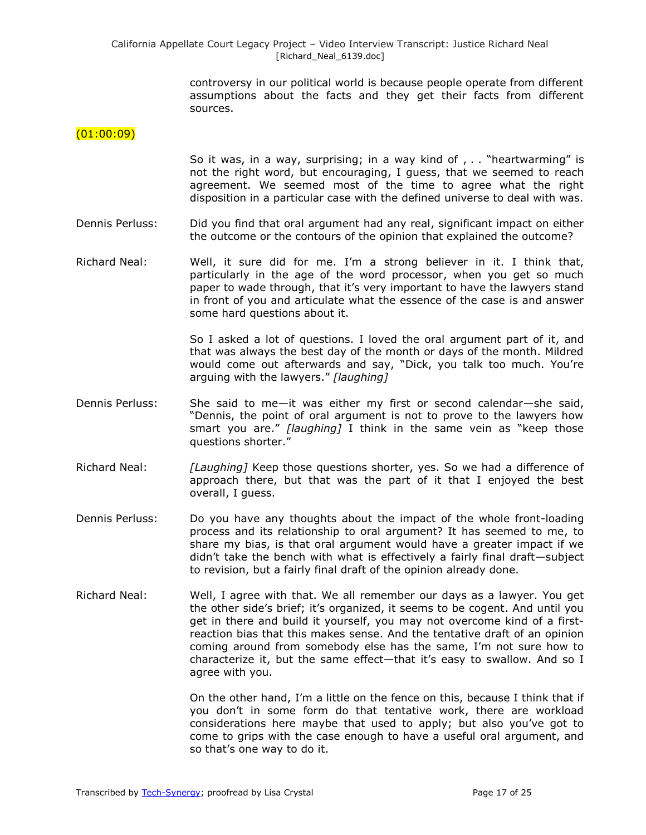California Appellate Court Legacy Project – Video Interview Transcript: Justice Richard Neal [Richard\_Neal\_6139.doc]

> controversy in our political world is because people operate from different assumptions about the facts and they get their facts from different sources.

#### $(01:00:09)$

So it was, in a way, surprising; in a way kind of  $, \ldots$  "heartwarming" is not the right word, but encouraging, I guess, that we seemed to reach agreement. We seemed most of the time to agree what the right disposition in a particular case with the defined universe to deal with was.

- Dennis Perluss: Did you find that oral argument had any real, significant impact on either the outcome or the contours of the opinion that explained the outcome?
- Richard Neal: Well, it sure did for me. I'm a strong believer in it. I think that, particularly in the age of the word processor, when you get so much paper to wade through, that it's very important to have the lawyers stand in front of you and articulate what the essence of the case is and answer some hard questions about it.

So I asked a lot of questions. I loved the oral argument part of it, and that was always the best day of the month or days of the month. Mildred would come out afterwards and say, "Dick, you talk too much. You're arguing with the lawyers.‖ *[laughing]*

- Dennis Perluss: She said to me—it was either my first or second calendar—she said, "Dennis, the point of oral argument is not to prove to the lawyers how smart you are." [laughing] I think in the same vein as "keep those questions shorter."
- Richard Neal: *[Laughing]* Keep those questions shorter, yes. So we had a difference of approach there, but that was the part of it that I enjoyed the best overall, I guess.
- Dennis Perluss: Do you have any thoughts about the impact of the whole front-loading process and its relationship to oral argument? It has seemed to me, to share my bias, is that oral argument would have a greater impact if we didn't take the bench with what is effectively a fairly final draft—subject to revision, but a fairly final draft of the opinion already done.
- Richard Neal: Well, I agree with that. We all remember our days as a lawyer. You get the other side's brief; it's organized, it seems to be cogent. And until you get in there and build it yourself, you may not overcome kind of a firstreaction bias that this makes sense. And the tentative draft of an opinion coming around from somebody else has the same, I'm not sure how to characterize it, but the same effect—that it's easy to swallow. And so I agree with you.

On the other hand, I'm a little on the fence on this, because I think that if you don't in some form do that tentative work, there are workload considerations here maybe that used to apply; but also you've got to come to grips with the case enough to have a useful oral argument, and so that's one way to do it.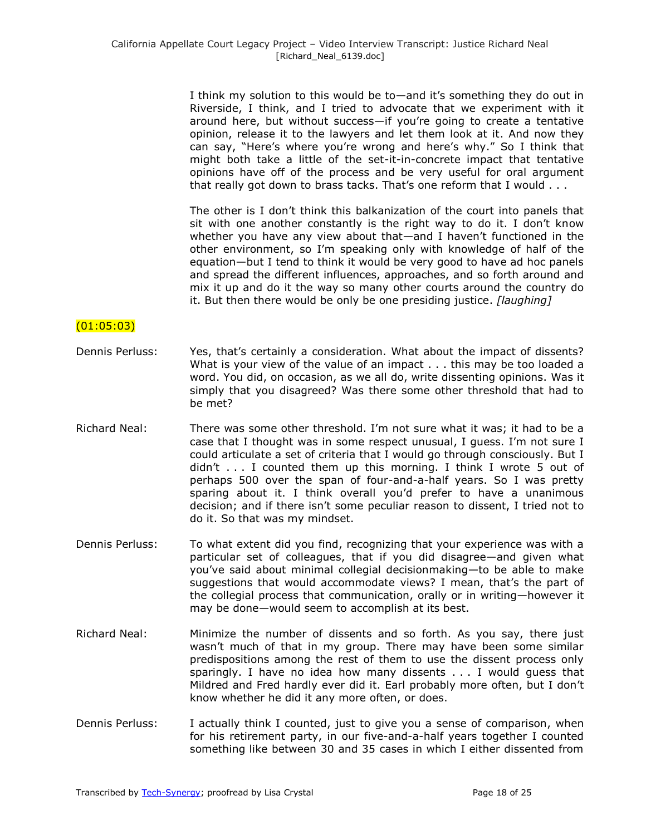I think my solution to this would be to—and it's something they do out in Riverside, I think, and I tried to advocate that we experiment with it around here, but without success—if you're going to create a tentative opinion, release it to the lawyers and let them look at it. And now they can say, "Here's where you're wrong and here's why." So I think that might both take a little of the set-it-in-concrete impact that tentative opinions have off of the process and be very useful for oral argument that really got down to brass tacks. That's one reform that I would . . .

The other is I don't think this balkanization of the court into panels that sit with one another constantly is the right way to do it. I don't know whether you have any view about that—and I haven't functioned in the other environment, so I'm speaking only with knowledge of half of the equation—but I tend to think it would be very good to have ad hoc panels and spread the different influences, approaches, and so forth around and mix it up and do it the way so many other courts around the country do it. But then there would be only be one presiding justice. *[laughing]*

# (01:05:03)

- Dennis Perluss: Yes, that's certainly a consideration. What about the impact of dissents? What is your view of the value of an impact . . . this may be too loaded a word. You did, on occasion, as we all do, write dissenting opinions. Was it simply that you disagreed? Was there some other threshold that had to be met?
- Richard Neal: There was some other threshold. I'm not sure what it was; it had to be a case that I thought was in some respect unusual, I guess. I'm not sure I could articulate a set of criteria that I would go through consciously. But I didn't . . . I counted them up this morning. I think I wrote 5 out of perhaps 500 over the span of four-and-a-half years. So I was pretty sparing about it. I think overall you'd prefer to have a unanimous decision; and if there isn't some peculiar reason to dissent, I tried not to do it. So that was my mindset.
- Dennis Perluss: To what extent did you find, recognizing that your experience was with a particular set of colleagues, that if you did disagree—and given what you've said about minimal collegial decisionmaking—to be able to make suggestions that would accommodate views? I mean, that's the part of the collegial process that communication, orally or in writing—however it may be done—would seem to accomplish at its best.
- Richard Neal: Minimize the number of dissents and so forth. As you say, there just wasn't much of that in my group. There may have been some similar predispositions among the rest of them to use the dissent process only sparingly. I have no idea how many dissents . . . I would guess that Mildred and Fred hardly ever did it. Earl probably more often, but I don't know whether he did it any more often, or does.
- Dennis Perluss: I actually think I counted, just to give you a sense of comparison, when for his retirement party, in our five-and-a-half years together I counted something like between 30 and 35 cases in which I either dissented from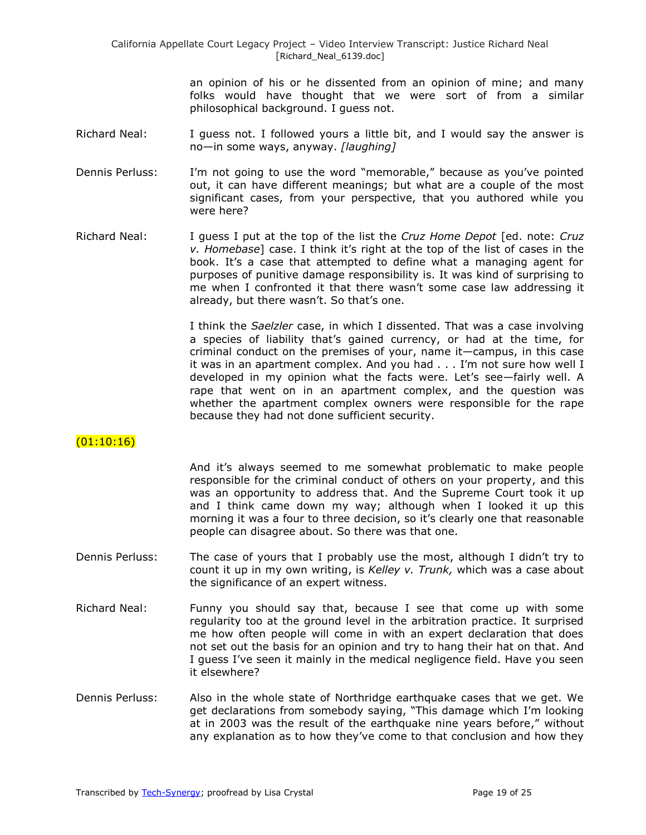an opinion of his or he dissented from an opinion of mine; and many folks would have thought that we were sort of from a similar philosophical background. I guess not.

- Richard Neal: I guess not. I followed yours a little bit, and I would say the answer is no—in some ways, anyway. *[laughing]*
- Dennis Perluss: I'm not going to use the word "memorable," because as you've pointed out, it can have different meanings; but what are a couple of the most significant cases, from your perspective, that you authored while you were here?
- Richard Neal: I guess I put at the top of the list the *Cruz Home Depot* [ed. note: *Cruz v. Homebase*] case. I think it's right at the top of the list of cases in the book. It's a case that attempted to define what a managing agent for purposes of punitive damage responsibility is. It was kind of surprising to me when I confronted it that there wasn't some case law addressing it already, but there wasn't. So that's one.

I think the *Saelzler* case, in which I dissented. That was a case involving a species of liability that's gained currency, or had at the time, for criminal conduct on the premises of your, name it—campus, in this case it was in an apartment complex. And you had . . . I'm not sure how well I developed in my opinion what the facts were. Let's see—fairly well. A rape that went on in an apartment complex, and the question was whether the apartment complex owners were responsible for the rape because they had not done sufficient security.

# $(01:10:16)$

And it's always seemed to me somewhat problematic to make people responsible for the criminal conduct of others on your property, and this was an opportunity to address that. And the Supreme Court took it up and I think came down my way; although when I looked it up this morning it was a four to three decision, so it's clearly one that reasonable people can disagree about. So there was that one.

- Dennis Perluss: The case of yours that I probably use the most, although I didn't try to count it up in my own writing, is *Kelley v. Trunk,* which was a case about the significance of an expert witness.
- Richard Neal: Funny you should say that, because I see that come up with some regularity too at the ground level in the arbitration practice. It surprised me how often people will come in with an expert declaration that does not set out the basis for an opinion and try to hang their hat on that. And I guess I've seen it mainly in the medical negligence field. Have you seen it elsewhere?
- Dennis Perluss: Also in the whole state of Northridge earthquake cases that we get. We get declarations from somebody saying, "This damage which I'm looking at in 2003 was the result of the earthquake nine years before," without any explanation as to how they've come to that conclusion and how they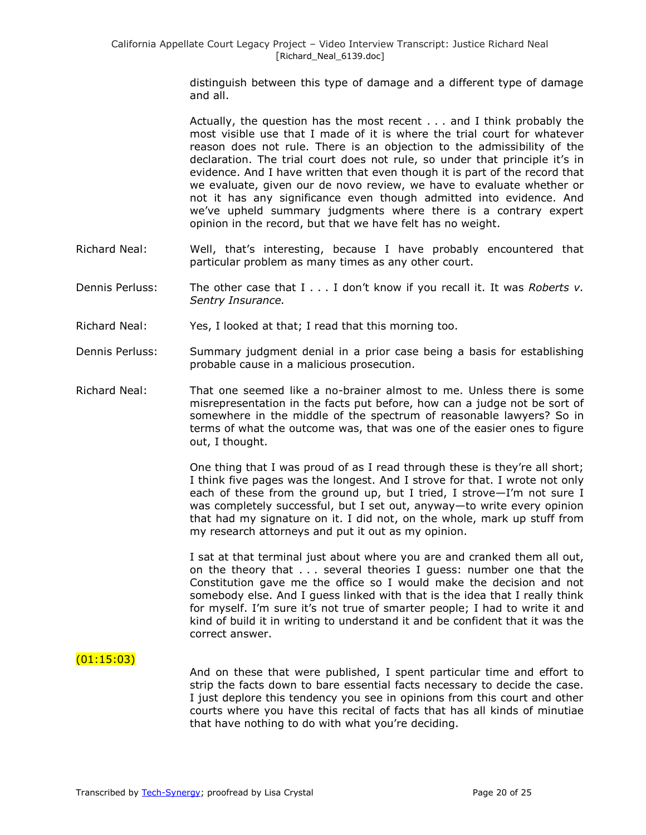distinguish between this type of damage and a different type of damage and all.

Actually, the question has the most recent . . . and I think probably the most visible use that I made of it is where the trial court for whatever reason does not rule. There is an objection to the admissibility of the declaration. The trial court does not rule, so under that principle it's in evidence. And I have written that even though it is part of the record that we evaluate, given our de novo review, we have to evaluate whether or not it has any significance even though admitted into evidence. And we've upheld summary judgments where there is a contrary expert opinion in the record, but that we have felt has no weight.

- Richard Neal: Well, that's interesting, because I have probably encountered that particular problem as many times as any other court.
- Dennis Perluss: The other case that I . . . I don't know if you recall it. It was *Roberts v. Sentry Insurance.*
- Richard Neal: Yes, I looked at that; I read that this morning too.
- Dennis Perluss: Summary judgment denial in a prior case being a basis for establishing probable cause in a malicious prosecution.
- Richard Neal: That one seemed like a no-brainer almost to me. Unless there is some misrepresentation in the facts put before, how can a judge not be sort of somewhere in the middle of the spectrum of reasonable lawyers? So in terms of what the outcome was, that was one of the easier ones to figure out, I thought.

One thing that I was proud of as I read through these is they're all short; I think five pages was the longest. And I strove for that. I wrote not only each of these from the ground up, but I tried, I strove—I'm not sure I was completely successful, but I set out, anyway—to write every opinion that had my signature on it. I did not, on the whole, mark up stuff from my research attorneys and put it out as my opinion.

I sat at that terminal just about where you are and cranked them all out, on the theory that . . . several theories I guess: number one that the Constitution gave me the office so I would make the decision and not somebody else. And I guess linked with that is the idea that I really think for myself. I'm sure it's not true of smarter people; I had to write it and kind of build it in writing to understand it and be confident that it was the correct answer.

#### (01:15:03)

And on these that were published, I spent particular time and effort to strip the facts down to bare essential facts necessary to decide the case. I just deplore this tendency you see in opinions from this court and other courts where you have this recital of facts that has all kinds of minutiae that have nothing to do with what you're deciding.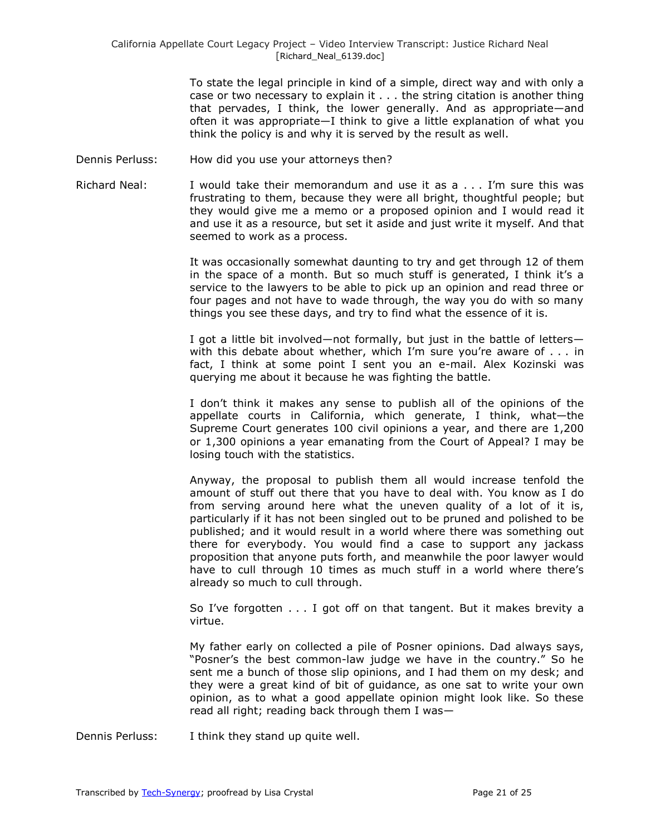To state the legal principle in kind of a simple, direct way and with only a case or two necessary to explain it . . . the string citation is another thing that pervades, I think, the lower generally. And as appropriate—and often it was appropriate—I think to give a little explanation of what you think the policy is and why it is served by the result as well.

- Dennis Perluss: How did you use your attorneys then?
- Richard Neal: I would take their memorandum and use it as a . . . I'm sure this was frustrating to them, because they were all bright, thoughtful people; but they would give me a memo or a proposed opinion and I would read it and use it as a resource, but set it aside and just write it myself. And that seemed to work as a process.

It was occasionally somewhat daunting to try and get through 12 of them in the space of a month. But so much stuff is generated, I think it's a service to the lawyers to be able to pick up an opinion and read three or four pages and not have to wade through, the way you do with so many things you see these days, and try to find what the essence of it is.

I got a little bit involved—not formally, but just in the battle of letters with this debate about whether, which I'm sure you're aware of  $\dots$  in fact, I think at some point I sent you an e-mail. Alex Kozinski was querying me about it because he was fighting the battle.

I don't think it makes any sense to publish all of the opinions of the appellate courts in California, which generate, I think, what—the Supreme Court generates 100 civil opinions a year, and there are 1,200 or 1,300 opinions a year emanating from the Court of Appeal? I may be losing touch with the statistics.

Anyway, the proposal to publish them all would increase tenfold the amount of stuff out there that you have to deal with. You know as I do from serving around here what the uneven quality of a lot of it is, particularly if it has not been singled out to be pruned and polished to be published; and it would result in a world where there was something out there for everybody. You would find a case to support any jackass proposition that anyone puts forth, and meanwhile the poor lawyer would have to cull through 10 times as much stuff in a world where there's already so much to cull through.

So I've forgotten . . . I got off on that tangent. But it makes brevity a virtue.

My father early on collected a pile of Posner opinions. Dad always says, "Posner's the best common-law judge we have in the country." So he sent me a bunch of those slip opinions, and I had them on my desk; and they were a great kind of bit of guidance, as one sat to write your own opinion, as to what a good appellate opinion might look like. So these read all right; reading back through them I was—

Dennis Perluss: I think they stand up quite well.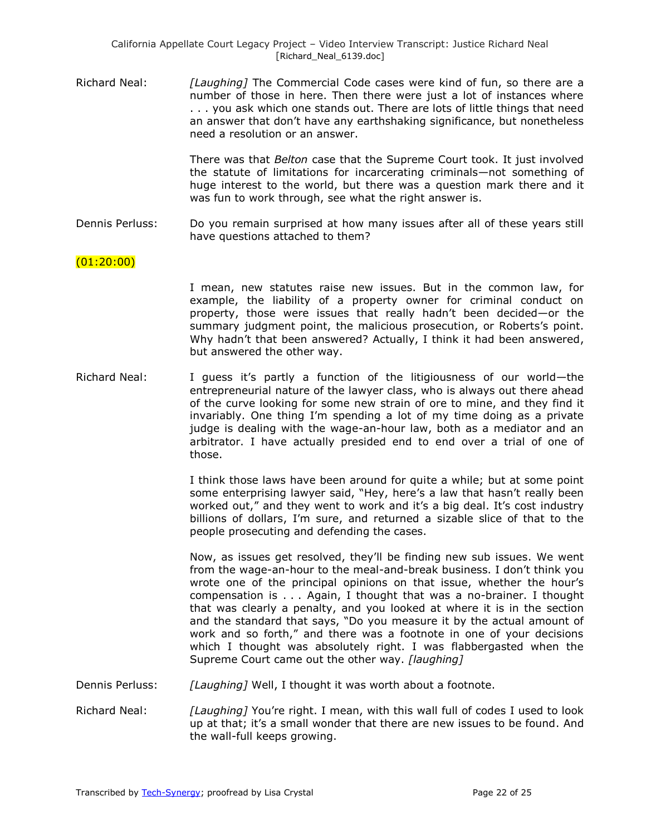Richard Neal: *[Laughing]* The Commercial Code cases were kind of fun, so there are a number of those in here. Then there were just a lot of instances where . . . you ask which one stands out. There are lots of little things that need an answer that don't have any earthshaking significance, but nonetheless need a resolution or an answer.

> There was that *Belton* case that the Supreme Court took. It just involved the statute of limitations for incarcerating criminals—not something of huge interest to the world, but there was a question mark there and it was fun to work through, see what the right answer is.

Dennis Perluss: Do you remain surprised at how many issues after all of these years still have questions attached to them?

### $(01:20:00)$

I mean, new statutes raise new issues. But in the common law, for example, the liability of a property owner for criminal conduct on property, those were issues that really hadn't been decided—or the summary judgment point, the malicious prosecution, or Roberts's point. Why hadn't that been answered? Actually, I think it had been answered, but answered the other way.

Richard Neal: I guess it's partly a function of the litigiousness of our world—the entrepreneurial nature of the lawyer class, who is always out there ahead of the curve looking for some new strain of ore to mine, and they find it invariably. One thing I'm spending a lot of my time doing as a private judge is dealing with the wage-an-hour law, both as a mediator and an arbitrator. I have actually presided end to end over a trial of one of those.

> I think those laws have been around for quite a while; but at some point some enterprising lawyer said, "Hey, here's a law that hasn't really been worked out," and they went to work and it's a big deal. It's cost industry billions of dollars, I'm sure, and returned a sizable slice of that to the people prosecuting and defending the cases.

> Now, as issues get resolved, they'll be finding new sub issues. We went from the wage-an-hour to the meal-and-break business. I don't think you wrote one of the principal opinions on that issue, whether the hour's compensation is . . . Again, I thought that was a no-brainer. I thought that was clearly a penalty, and you looked at where it is in the section and the standard that says, "Do you measure it by the actual amount of work and so forth," and there was a footnote in one of your decisions which I thought was absolutely right. I was flabbergasted when the Supreme Court came out the other way. *[laughing]*

- Dennis Perluss: *[Laughing]* Well, I thought it was worth about a footnote.
- Richard Neal: *[Laughing]* You're right. I mean, with this wall full of codes I used to look up at that; it's a small wonder that there are new issues to be found. And the wall-full keeps growing.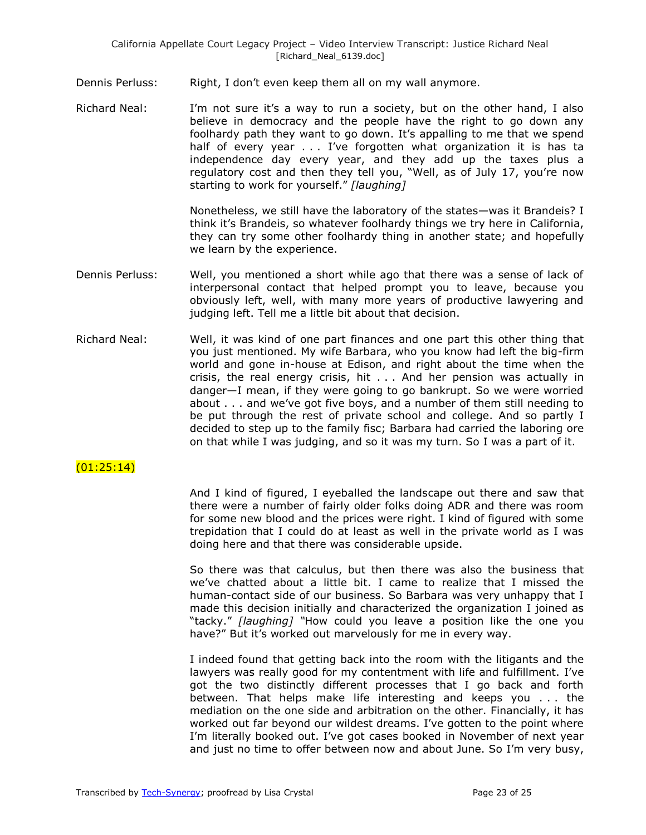Dennis Perluss: Right, I don't even keep them all on my wall anymore.

Richard Neal: I'm not sure it's a way to run a society, but on the other hand, I also believe in democracy and the people have the right to go down any foolhardy path they want to go down. It's appalling to me that we spend half of every year . . . I've forgotten what organization it is has ta independence day every year, and they add up the taxes plus a regulatory cost and then they tell you, "Well, as of July 17, you're now starting to work for yourself." [laughing]

> Nonetheless, we still have the laboratory of the states—was it Brandeis? I think it's Brandeis, so whatever foolhardy things we try here in California, they can try some other foolhardy thing in another state; and hopefully we learn by the experience.

- Dennis Perluss: Well, you mentioned a short while ago that there was a sense of lack of interpersonal contact that helped prompt you to leave, because you obviously left, well, with many more years of productive lawyering and judging left. Tell me a little bit about that decision.
- Richard Neal: Well, it was kind of one part finances and one part this other thing that you just mentioned. My wife Barbara, who you know had left the big-firm world and gone in-house at Edison, and right about the time when the crisis, the real energy crisis, hit . . . And her pension was actually in danger—I mean, if they were going to go bankrupt. So we were worried about . . . and we've got five boys, and a number of them still needing to be put through the rest of private school and college. And so partly I decided to step up to the family fisc; Barbara had carried the laboring ore on that while I was judging, and so it was my turn. So I was a part of it.

# $(01:25:14)$

And I kind of figured, I eyeballed the landscape out there and saw that there were a number of fairly older folks doing ADR and there was room for some new blood and the prices were right. I kind of figured with some trepidation that I could do at least as well in the private world as I was doing here and that there was considerable upside.

So there was that calculus, but then there was also the business that we've chatted about a little bit. I came to realize that I missed the human-contact side of our business. So Barbara was very unhappy that I made this decision initially and characterized the organization I joined as "tacky." *[laughing]* "How could you leave a position like the one you have?" But it's worked out marvelously for me in every way.

I indeed found that getting back into the room with the litigants and the lawyers was really good for my contentment with life and fulfillment. I've got the two distinctly different processes that I go back and forth between. That helps make life interesting and keeps you . . . the mediation on the one side and arbitration on the other. Financially, it has worked out far beyond our wildest dreams. I've gotten to the point where I'm literally booked out. I've got cases booked in November of next year and just no time to offer between now and about June. So I'm very busy,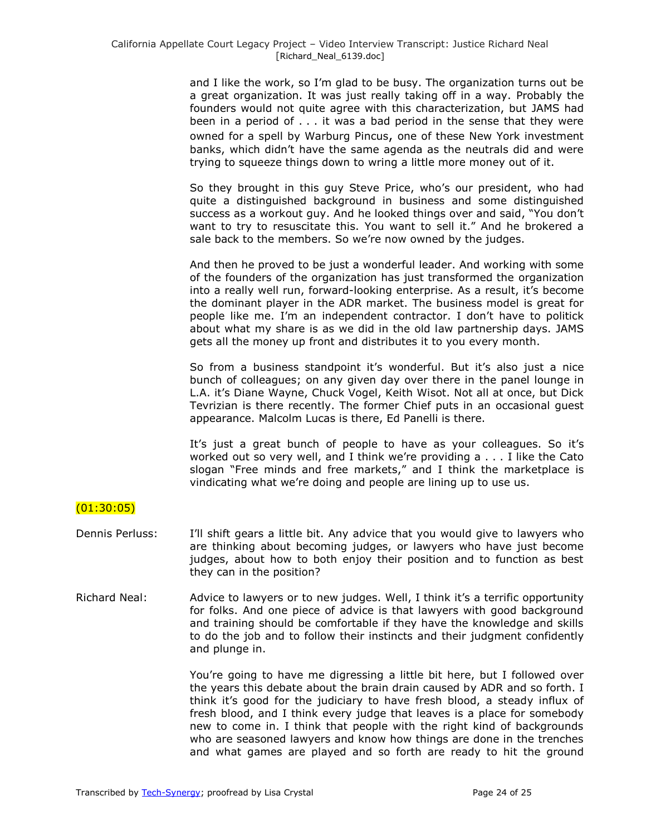and I like the work, so I'm glad to be busy. The organization turns out be a great organization. It was just really taking off in a way. Probably the founders would not quite agree with this characterization, but JAMS had been in a period of . . . it was a bad period in the sense that they were owned for a spell by Warburg Pincus, one of these New York investment banks, which didn't have the same agenda as the neutrals did and were trying to squeeze things down to wring a little more money out of it.

So they brought in this guy Steve Price, who's our president, who had quite a distinguished background in business and some distinguished success as a workout guy. And he looked things over and said, "You don't want to try to resuscitate this. You want to sell it." And he brokered a sale back to the members. So we're now owned by the judges.

And then he proved to be just a wonderful leader. And working with some of the founders of the organization has just transformed the organization into a really well run, forward-looking enterprise. As a result, it's become the dominant player in the ADR market. The business model is great for people like me. I'm an independent contractor. I don't have to politick about what my share is as we did in the old law partnership days. JAMS gets all the money up front and distributes it to you every month.

So from a business standpoint it's wonderful. But it's also just a nice bunch of colleagues; on any given day over there in the panel lounge in L.A. it's Diane Wayne, Chuck Vogel, Keith Wisot. Not all at once, but Dick Tevrizian is there recently. The former Chief puts in an occasional guest appearance. Malcolm Lucas is there, Ed Panelli is there.

It's just a great bunch of people to have as your colleagues. So it's worked out so very well, and I think we're providing a . . . I like the Cato slogan "Free minds and free markets," and I think the marketplace is vindicating what we're doing and people are lining up to use us.

### (01:30:05)

- Dennis Perluss: I'll shift gears a little bit. Any advice that you would give to lawyers who are thinking about becoming judges, or lawyers who have just become judges, about how to both enjoy their position and to function as best they can in the position?
- Richard Neal: Advice to lawyers or to new judges. Well, I think it's a terrific opportunity for folks. And one piece of advice is that lawyers with good background and training should be comfortable if they have the knowledge and skills to do the job and to follow their instincts and their judgment confidently and plunge in.

You're going to have me digressing a little bit here, but I followed over the years this debate about the brain drain caused by ADR and so forth. I think it's good for the judiciary to have fresh blood, a steady influx of fresh blood, and I think every judge that leaves is a place for somebody new to come in. I think that people with the right kind of backgrounds who are seasoned lawyers and know how things are done in the trenches and what games are played and so forth are ready to hit the ground